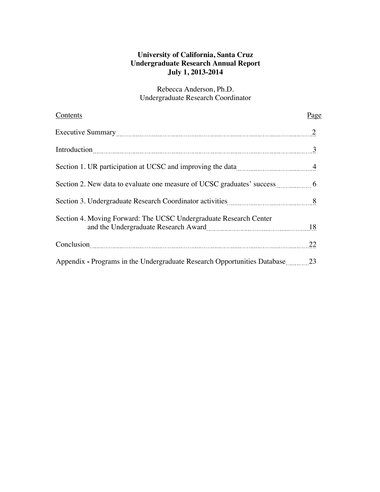## **University of California, Santa Cruz Undergraduate Research Annual Report July 1, 2013-2014**

Rebecca Anderson, Ph.D. Undergraduate Research Coordinator

| Contents                                                                                                                                                                                                                                           | Page |
|----------------------------------------------------------------------------------------------------------------------------------------------------------------------------------------------------------------------------------------------------|------|
|                                                                                                                                                                                                                                                    |      |
| Introduction 3                                                                                                                                                                                                                                     |      |
| Section 1. UR participation at UCSC and improving the data                                                                                                                                                                                         |      |
|                                                                                                                                                                                                                                                    |      |
| Section 3. Undergraduate Research Coordinator activities 88                                                                                                                                                                                        |      |
| Section 4. Moving Forward: The UCSC Undergraduate Research Center<br>and the Undergraduate Research Award                                                                                                                                          |      |
| Conclusion <sub>1</sub> and the conclusion <sub>1</sub> and the contract of the contract of the contract of the contract of the contract of the contract of the contract of the contract of the contract of the contract of the contract of the co | 22   |
| Appendix - Programs in the Undergraduate Research Opportunities Database 23                                                                                                                                                                        |      |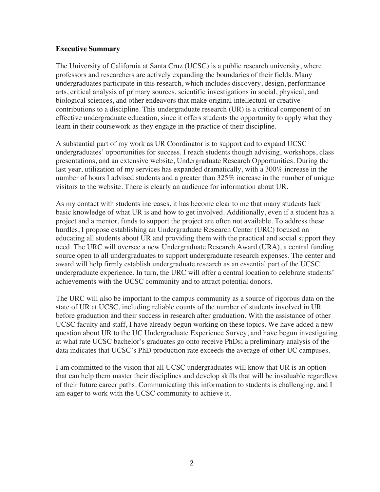### **Executive Summary**

The University of California at Santa Cruz (UCSC) is a public research university, where professors and researchers are actively expanding the boundaries of their fields. Many undergraduates participate in this research, which includes discovery, design, performance arts, critical analysis of primary sources, scientific investigations in social, physical, and biological sciences, and other endeavors that make original intellectual or creative contributions to a discipline. This undergraduate research (UR) is a critical component of an effective undergraduate education, since it offers students the opportunity to apply what they learn in their coursework as they engage in the practice of their discipline.

A substantial part of my work as UR Coordinator is to support and to expand UCSC undergraduates' opportunities for success. I reach students though advising, workshops, class presentations, and an extensive website, Undergraduate Research Opportunities. During the last year, utilization of my services has expanded dramatically, with a 300% increase in the number of hours I advised students and a greater than 325% increase in the number of unique visitors to the website. There is clearly an audience for information about UR.

As my contact with students increases, it has become clear to me that many students lack basic knowledge of what UR is and how to get involved. Additionally, even if a student has a project and a mentor, funds to support the project are often not available. To address these hurdles, I propose establishing an Undergraduate Research Center (URC) focused on educating all students about UR and providing them with the practical and social support they need. The URC will oversee a new Undergraduate Research Award (URA), a central funding source open to all undergraduates to support undergraduate research expenses. The center and award will help firmly establish undergraduate research as an essential part of the UCSC undergraduate experience. In turn, the URC will offer a central location to celebrate students' achievements with the UCSC community and to attract potential donors.

The URC will also be important to the campus community as a source of rigorous data on the state of UR at UCSC, including reliable counts of the number of students involved in UR before graduation and their success in research after graduation. With the assistance of other UCSC faculty and staff, I have already begun working on these topics. We have added a new question about UR to the UC Undergraduate Experience Survey, and have begun investigating at what rate UCSC bachelor's graduates go onto receive PhDs; a preliminary analysis of the data indicates that UCSC's PhD production rate exceeds the average of other UC campuses.

I am committed to the vision that all UCSC undergraduates will know that UR is an option that can help them master their disciplines and develop skills that will be invaluable regardless of their future career paths. Communicating this information to students is challenging, and I am eager to work with the UCSC community to achieve it.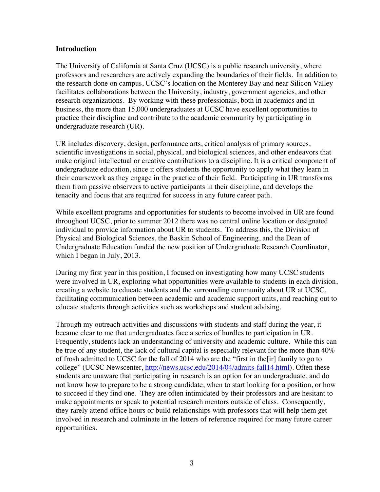#### **Introduction**

The University of California at Santa Cruz (UCSC) is a public research university, where professors and researchers are actively expanding the boundaries of their fields. In addition to the research done on campus, UCSC's location on the Monterey Bay and near Silicon Valley facilitates collaborations between the University, industry, government agencies, and other research organizations. By working with these professionals, both in academics and in business, the more than 15,000 undergraduates at UCSC have excellent opportunities to practice their discipline and contribute to the academic community by participating in undergraduate research (UR).

UR includes discovery, design, performance arts, critical analysis of primary sources, scientific investigations in social, physical, and biological sciences, and other endeavors that make original intellectual or creative contributions to a discipline. It is a critical component of undergraduate education, since it offers students the opportunity to apply what they learn in their coursework as they engage in the practice of their field. Participating in UR transforms them from passive observers to active participants in their discipline, and develops the tenacity and focus that are required for success in any future career path.

While excellent programs and opportunities for students to become involved in UR are found throughout UCSC, prior to summer 2012 there was no central online location or designated individual to provide information about UR to students. To address this, the Division of Physical and Biological Sciences, the Baskin School of Engineering, and the Dean of Undergraduate Education funded the new position of Undergraduate Research Coordinator, which I began in July, 2013.

During my first year in this position, I focused on investigating how many UCSC students were involved in UR, exploring what opportunities were available to students in each division, creating a website to educate students and the surrounding community about UR at UCSC, facilitating communication between academic and academic support units, and reaching out to educate students through activities such as workshops and student advising.

Through my outreach activities and discussions with students and staff during the year, it became clear to me that undergraduates face a series of hurdles to participation in UR. Frequently, students lack an understanding of university and academic culture. While this can be true of any student, the lack of cultural capital is especially relevant for the more than  $40\%$ of frosh admitted to UCSC for the fall of 2014 who are the "first in the[ir] family to go to college" (UCSC Newscenter, http://news.ucsc.edu/2014/04/admits-fall14.html). Often these students are unaware that participating in research is an option for an undergraduate, and do not know how to prepare to be a strong candidate, when to start looking for a position, or how to succeed if they find one. They are often intimidated by their professors and are hesitant to make appointments or speak to potential research mentors outside of class. Consequently, they rarely attend office hours or build relationships with professors that will help them get involved in research and culminate in the letters of reference required for many future career opportunities.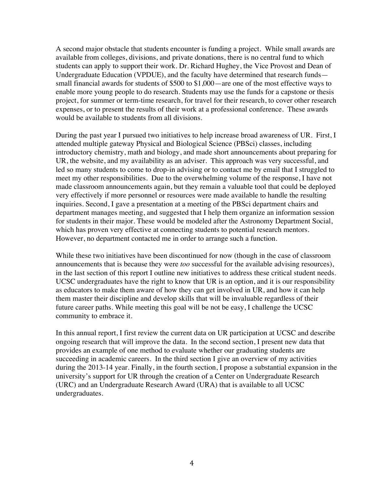A second major obstacle that students encounter is funding a project. While small awards are available from colleges, divisions, and private donations, there is no central fund to which students can apply to support their work. Dr. Richard Hughey, the Vice Provost and Dean of Undergraduate Education (VPDUE), and the faculty have determined that research funds small financial awards for students of \$500 to \$1,000—are one of the most effective ways to enable more young people to do research. Students may use the funds for a capstone or thesis project, for summer or term-time research, for travel for their research, to cover other research expenses, or to present the results of their work at a professional conference. These awards would be available to students from all divisions.

During the past year I pursued two initiatives to help increase broad awareness of UR. First, I attended multiple gateway Physical and Biological Science (PBSci) classes, including introductory chemistry, math and biology, and made short announcements about preparing for UR, the website, and my availability as an adviser. This approach was very successful, and led so many students to come to drop-in advising or to contact me by email that I struggled to meet my other responsibilities. Due to the overwhelming volume of the response, I have not made classroom announcements again, but they remain a valuable tool that could be deployed very effectively if more personnel or resources were made available to handle the resulting inquiries. Second, I gave a presentation at a meeting of the PBSci department chairs and department manages meeting, and suggested that I help them organize an information session for students in their major. These would be modeled after the Astronomy Department Social, which has proven very effective at connecting students to potential research mentors. However, no department contacted me in order to arrange such a function.

While these two initiatives have been discontinued for now (though in the case of classroom announcements that is because they were *too* successful for the available advising resources), in the last section of this report I outline new initiatives to address these critical student needs. UCSC undergraduates have the right to know that UR is an option, and it is our responsibility as educators to make them aware of how they can get involved in UR, and how it can help them master their discipline and develop skills that will be invaluable regardless of their future career paths. While meeting this goal will be not be easy, I challenge the UCSC community to embrace it.

In this annual report, I first review the current data on UR participation at UCSC and describe ongoing research that will improve the data. In the second section, I present new data that provides an example of one method to evaluate whether our graduating students are succeeding in academic careers. In the third section I give an overview of my activities during the 2013-14 year. Finally, in the fourth section, I propose a substantial expansion in the university's support for UR through the creation of a Center on Undergraduate Research (URC) and an Undergraduate Research Award (URA) that is available to all UCSC undergraduates.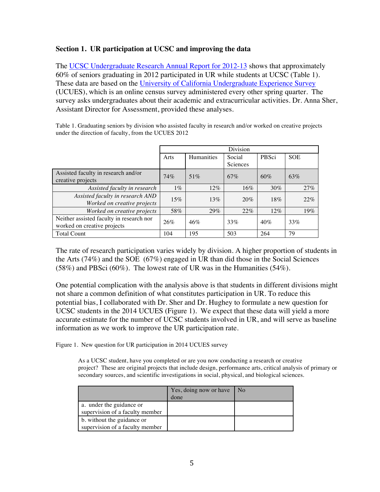### **Section 1. UR participation at UCSC and improving the data**

The UCSC Undergraduate Research Annual Report for 2012-13 shows that approximately 60% of seniors graduating in 2012 participated in UR while students at UCSC (Table 1). These data are based on the University of California Undergraduate Experience Survey (UCUES), which is an online census survey administered every other spring quarter. The survey asks undergraduates about their academic and extracurricular activities. Dr. Anna Sher, Assistant Director for Assessment, provided these analyses.

Table 1. Graduating seniors by division who assisted faculty in research and/or worked on creative projects under the direction of faculty, from the UCUES 2012

|                                                                         | Division |            |                    |        |            |
|-------------------------------------------------------------------------|----------|------------|--------------------|--------|------------|
|                                                                         | Arts     | Humanities | Social<br>Sciences | PBSci  | <b>SOE</b> |
| Assisted faculty in research and/or<br>creative projects                | 74%      | 51%        | 67%                | 60%    | 63%        |
| Assisted faculty in research                                            | $1\%$    | $12\%$     | 16%                | $30\%$ | 27%        |
| Assisted faculty in research AND<br>Worked on creative projects         | 15%      | 13%        | 20%                | 18%    | 22%        |
| Worked on creative projects                                             | 58%      | 29%        | $22\%$             | $12\%$ | 19%        |
| Neither assisted faculty in research nor<br>worked on creative projects | 26%      | 46%        | 33%                | 40%    | 33%        |
| <b>Total Count</b>                                                      | 104      | 195        | 503                | 264    | 79         |

The rate of research participation varies widely by division. A higher proportion of students in the Arts (74%) and the SOE (67%) engaged in UR than did those in the Social Sciences (58%) and PBSci (60%). The lowest rate of UR was in the Humanities (54%).

One potential complication with the analysis above is that students in different divisions might not share a common definition of what constitutes participation in UR. To reduce this potential bias, I collaborated with Dr. Sher and Dr. Hughey to formulate a new question for UCSC students in the 2014 UCUES (Figure 1). We expect that these data will yield a more accurate estimate for the number of UCSC students involved in UR, and will serve as baseline information as we work to improve the UR participation rate.

Figure 1. New question for UR participation in 2014 UCUES survey

As a UCSC student, have you completed or are you now conducting a research or creative project? These are original projects that include design, performance arts, critical analysis of primary or secondary sources, and scientific investigations in social, physical, and biological sciences.

|                                 | Yes, doing now or have | l No |
|---------------------------------|------------------------|------|
|                                 | done                   |      |
| a. under the guidance or        |                        |      |
| supervision of a faculty member |                        |      |
| b. without the guidance or      |                        |      |
| supervision of a faculty member |                        |      |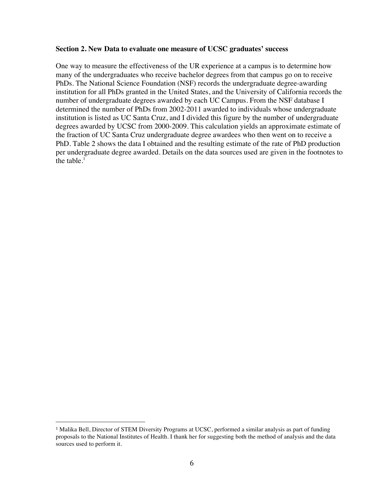#### **Section 2. New Data to evaluate one measure of UCSC graduates' success**

One way to measure the effectiveness of the UR experience at a campus is to determine how many of the undergraduates who receive bachelor degrees from that campus go on to receive PhDs. The National Science Foundation (NSF) records the undergraduate degree-awarding institution for all PhDs granted in the United States, and the University of California records the number of undergraduate degrees awarded by each UC Campus. From the NSF database I determined the number of PhDs from 2002-2011 awarded to individuals whose undergraduate institution is listed as UC Santa Cruz, and I divided this figure by the number of undergraduate degrees awarded by UCSC from 2000-2009. This calculation yields an approximate estimate of the fraction of UC Santa Cruz undergraduate degree awardees who then went on to receive a PhD. Table 2 shows the data I obtained and the resulting estimate of the rate of PhD production per undergraduate degree awarded. Details on the data sources used are given in the footnotes to the table. $<sup>1</sup>$ </sup>

 

<sup>1</sup> Malika Bell, Director of STEM Diversity Programs at UCSC, performed a similar analysis as part of funding proposals to the National Institutes of Health. I thank her for suggesting both the method of analysis and the data sources used to perform it.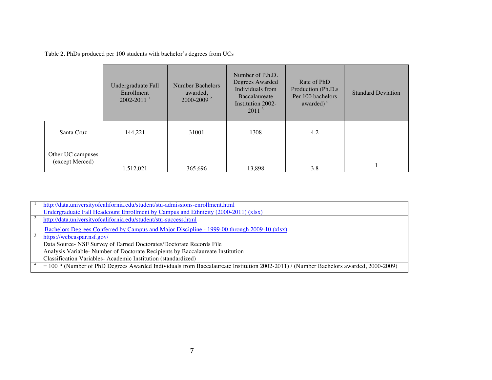Table 2. PhDs produced per 100 students with bachelor's degrees from UCs

|                                      | Undergraduate Fall<br>Enrollment<br>$2002 - 2011$ <sup>1</sup> | <b>Number Bachelors</b><br>awarded,<br>2000-2009 <sup>2</sup> | Number of P.h.D.<br>Degrees Awarded<br>Individuals from<br>Baccalaureate<br>Institution 2002-<br>2011 <sup>3</sup> | Rate of PhD<br>Production (Ph.D.s)<br>Per 100 bachelors<br>awarded) $4$ | <b>Standard Deviation</b> |
|--------------------------------------|----------------------------------------------------------------|---------------------------------------------------------------|--------------------------------------------------------------------------------------------------------------------|-------------------------------------------------------------------------|---------------------------|
| Santa Cruz                           | 144,221                                                        | 31001                                                         | 1308                                                                                                               | 4.2                                                                     |                           |
| Other UC campuses<br>(except Merced) | 1,512,021                                                      | 365,696                                                       | 13,898                                                                                                             | 3.8                                                                     |                           |

|  | http://data.universityofcalifornia.edu/student/stu-admissions-enrollment.html                                                          |
|--|----------------------------------------------------------------------------------------------------------------------------------------|
|  | Undergraduate Fall Headcount Enrollment by Campus and Ethnicity (2000-2011) (xlsx)                                                     |
|  | http://data.universityofcalifornia.edu/student/stu-success.html                                                                        |
|  | Bachelors Degrees Conferred by Campus and Major Discipline - 1999-00 through 2009-10 (xlsx)                                            |
|  | https://webcaspar.nsf.gov/                                                                                                             |
|  | Data Source- NSF Survey of Earned Doctorates/Doctorate Records File                                                                    |
|  | Analysis Variable-Number of Doctorate Recipients by Baccalaureate Institution                                                          |
|  | Classification Variables-Academic Institution (standardized)                                                                           |
|  | $=$ 100 * (Number of PhD Degrees Awarded Individuals from Baccalaureate Institution 2002-2011) / (Number Bachelors awarded, 2000-2009) |
|  |                                                                                                                                        |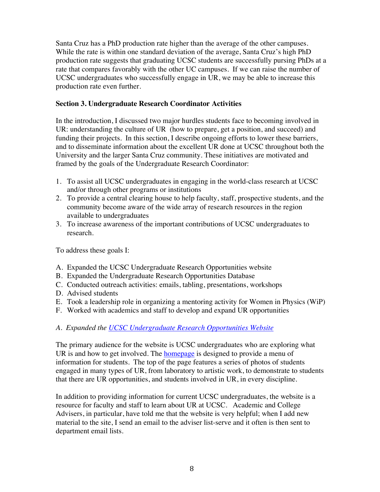Santa Cruz has a PhD production rate higher than the average of the other campuses. While the rate is within one standard deviation of the average, Santa Cruz's high PhD production rate suggests that graduating UCSC students are successfully pursing PhDs at a rate that compares favorably with the other UC campuses. If we can raise the number of UCSC undergraduates who successfully engage in UR, we may be able to increase this production rate even further.

### **Section 3. Undergraduate Research Coordinator Activities**

In the introduction, I discussed two major hurdles students face to becoming involved in UR: understanding the culture of UR (how to prepare, get a position, and succeed) and funding their projects. In this section, I describe ongoing efforts to lower these barriers, and to disseminate information about the excellent UR done at UCSC throughout both the University and the larger Santa Cruz community. These initiatives are motivated and framed by the goals of the Undergraduate Research Coordinator:

- 1. To assist all UCSC undergraduates in engaging in the world-class research at UCSC and/or through other programs or institutions
- 2. To provide a central clearing house to help faculty, staff, prospective students, and the community become aware of the wide array of research resources in the region available to undergraduates
- 3. To increase awareness of the important contributions of UCSC undergraduates to research.

To address these goals I:

- A. Expanded the UCSC Undergraduate Research Opportunities website
- B. Expanded the Undergraduate Research Opportunities Database
- C. Conducted outreach activities: emails, tabling, presentations, workshops
- D. Advised students
- E. Took a leadership role in organizing a mentoring activity for Women in Physics (WiP)
- F. Worked with academics and staff to develop and expand UR opportunities

## *A. Expanded the UCSC Undergraduate Research Opportunities Website*

The primary audience for the website is UCSC undergraduates who are exploring what UR is and how to get involved. The homepage is designed to provide a menu of information for students. The top of the page features a series of photos of students engaged in many types of UR, from laboratory to artistic work, to demonstrate to students that there are UR opportunities, and students involved in UR, in every discipline.

In addition to providing information for current UCSC undergraduates, the website is a resource for faculty and staff to learn about UR at UCSC. Academic and College Advisers, in particular, have told me that the website is very helpful; when I add new material to the site, I send an email to the adviser list-serve and it often is then sent to department email lists.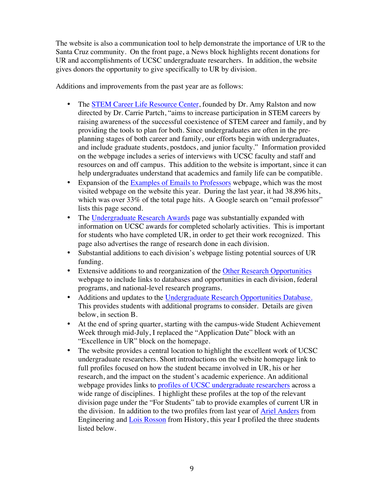The website is also a communication tool to help demonstrate the importance of UR to the Santa Cruz community. On the front page, a News block highlights recent donations for UR and accomplishments of UCSC undergraduate researchers. In addition, the website gives donors the opportunity to give specifically to UR by division.

Additions and improvements from the past year are as follows:

- The STEM Career Life Resource Center, founded by Dr. Amy Ralston and now directed by Dr. Carrie Partch, "aims to increase participation in STEM careers by raising awareness of the successful coexistence of STEM career and family, and by providing the tools to plan for both. Since undergraduates are often in the preplanning stages of both career and family, our efforts begin with undergraduates, and include graduate students, postdocs, and junior faculty." Information provided on the webpage includes a series of interviews with UCSC faculty and staff and resources on and off campus. This addition to the website is important, since it can help undergraduates understand that academics and family life can be compatible.
- Expansion of the Examples of Emails to Professors webpage, which was the most visited webpage on the website this year. During the last year, it had 38,896 hits, which was over 33% of the total page hits. A Google search on "email professor" lists this page second.
- The Undergraduate Research Awards page was substantially expanded with information on UCSC awards for completed scholarly activities. This is important for students who have completed UR, in order to get their work recognized. This page also advertises the range of research done in each division.
- Substantial additions to each division's webpage listing potential sources of UR funding.
- Extensive additions to and reorganization of the Other Research Opportunities webpage to include links to databases and opportunities in each division, federal programs, and national-level research programs.
- Additions and updates to the Undergraduate Research Opportunities Database. This provides students with additional programs to consider. Details are given below, in section B.
- At the end of spring quarter, starting with the campus-wide Student Achievement Week through mid-July, I replaced the "Application Date" block with an "Excellence in UR" block on the homepage.
- The website provides a central location to highlight the excellent work of UCSC undergraduate researchers. Short introductions on the website homepage link to full profiles focused on how the student became involved in UR, his or her research, and the impact on the student's academic experience. An additional webpage provides links to profiles of UCSC undergraduate researchers across a wide range of disciplines. I highlight these profiles at the top of the relevant division page under the "For Students" tab to provide examples of current UR in the division. In addition to the two profiles from last year of Ariel Anders from Engineering and Lois Rosson from History, this year I profiled the three students listed below.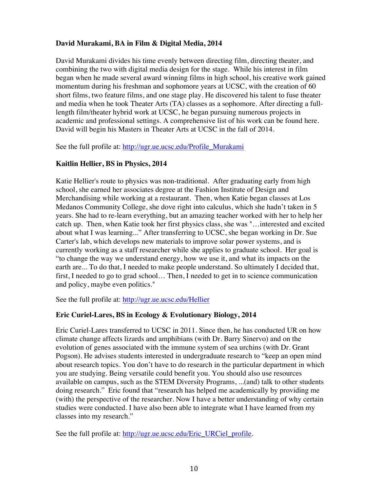## **David Murakami, BA in Film & Digital Media, 2014**

David Murakami divides his time evenly between directing film, directing theater, and combining the two with digital media design for the stage. While his interest in film began when he made several award winning films in high school, his creative work gained momentum during his freshman and sophomore years at UCSC, with the creation of 60 short films, two feature films, and one stage play. He discovered his talent to fuse theater and media when he took Theater Arts (TA) classes as a sophomore. After directing a fulllength film/theater hybrid work at UCSC, he began pursuing numerous projects in academic and professional settings. A comprehensive list of his work can be found here. David will begin his Masters in Theater Arts at UCSC in the fall of 2014.

See the full profile at: http://ugr.ue.ucsc.edu/Profile\_Murakami

## **Kaitlin Hellier, BS in Physics, 2014**

Katie Hellier's route to physics was non-traditional. After graduating early from high school, she earned her associates degree at the Fashion Institute of Design and Merchandising while working at a restaurant. Then, when Katie began classes at Los Medanos Community College, she dove right into calculus, which she hadn't taken in 5 years. She had to re-learn everything, but an amazing teacher worked with her to help her catch up. Then, when Katie took her first physics class, she was "…interested and excited about what I was learning..." After transferring to UCSC, she began working in Dr. Sue Carter's lab, which develops new materials to improve solar power systems, and is currently working as a staff researcher while she applies to graduate school. Her goal is "to change the way we understand energy, how we use it, and what its impacts on the earth are... To do that, I needed to make people understand. So ultimately I decided that, first, I needed to go to grad school… Then, I needed to get in to science communication and policy, maybe even politics."

See the full profile at: http://ugr.ue.ucsc.edu/Hellier

## **Eric Curiel-Lares, BS in Ecology & Evolutionary Biology, 2014**

Eric Curiel-Lares transferred to UCSC in 2011. Since then, he has conducted UR on how climate change affects lizards and amphibians (with Dr. Barry Sinervo) and on the evolution of genes associated with the immune system of sea urchins (with Dr. Grant Pogson). He advises students interested in undergraduate research to "keep an open mind about research topics. You don't have to do research in the particular department in which you are studying. Being versatile could benefit you. You should also use resources available on campus, such as the STEM Diversity Programs, ...(and) talk to other students doing research." Eric found that "research has helped me academically by providing me (with) the perspective of the researcher. Now I have a better understanding of why certain studies were conducted. I have also been able to integrate what I have learned from my classes into my research."

See the full profile at: http://ugr.ue.ucsc.edu/Eric\_URCiel\_profile.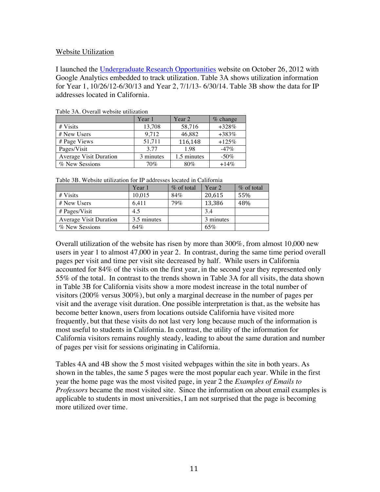#### Website Utilization

I launched the Undergraduate Research Opportunities website on October 26, 2012 with Google Analytics embedded to track utilization. Table 3A shows utilization information for Year 1, 10/26/12-6/30/13 and Year 2, 7/1/13- 6/30/14. Table 3B show the data for IP addresses located in California.

|                               | Year 1    | Year 2      | $%$ change |
|-------------------------------|-----------|-------------|------------|
| # Visits                      | 13,708    | 58,716      | $+328%$    |
| # New Users                   | 9,712     | 46,882      | $+383%$    |
| # Page Views                  | 51,711    | 116,148     | $+125%$    |
| Pages/Visit                   | 3.77      | 1.98        | $-47%$     |
| <b>Average Visit Duration</b> | 3 minutes | 1.5 minutes | $-50\%$    |
| % New Sessions                | 70%       | $80\%$      | $+14%$     |

Table 3A. Overall website utilization

|                               | Year 1      | $\%$ of total | Year 2    | $\%$ of total |
|-------------------------------|-------------|---------------|-----------|---------------|
| # Visits                      | 10.015      | 84%           | 20,615    | 55%           |
| # New Users                   | 6.411       | 79%           | 13,386    | 48%           |
| # Pages/Visit                 | 4.5         |               | 3.4       |               |
| <b>Average Visit Duration</b> | 3.5 minutes |               | 3 minutes |               |
| % New Sessions                | 64%         |               | 65%       |               |

Overall utilization of the website has risen by more than 300%, from almost 10,000 new users in year 1 to almost 47,000 in year 2. In contrast, during the same time period overall pages per visit and time per visit site decreased by half. While users in California accounted for 84% of the visits on the first year, in the second year they represented only 55% of the total. In contrast to the trends shown in Table 3A for all visits, the data shown in Table 3B for California visits show a more modest increase in the total number of visitors (200% versus 300%), but only a marginal decrease in the number of pages per visit and the average visit duration. One possible interpretation is that, as the website has become better known, users from locations outside California have visited more frequently, but that these visits do not last very long because much of the information is most useful to students in California. In contrast, the utility of the information for California visitors remains roughly steady, leading to about the same duration and number of pages per visit for sessions originating in California.

Tables 4A and 4B show the 5 most visited webpages within the site in both years. As shown in the tables, the same 5 pages were the most popular each year. While in the first year the home page was the most visited page, in year 2 the *Examples of Emails to Professors* became the most visited site. Since the information on about email examples is applicable to students in most universities, I am not surprised that the page is becoming more utilized over time.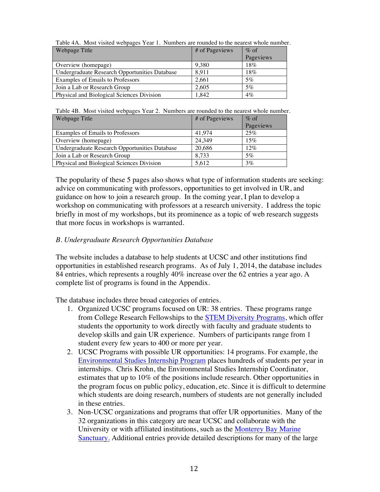| THOIS III IIIODI TIDIOS TOOPULOD IOMI IT ITULIOOLD MIO IOMINOS ID MIO IIOMIODI |                |           |
|--------------------------------------------------------------------------------|----------------|-----------|
| Webpage Title                                                                  | # of Pageviews | $\%$ of   |
|                                                                                |                | Pageviews |
| Overview (homepage)                                                            | 9.380          | 18%       |
| Undergraduate Research Opportunities Database                                  | 8.911          | 18%       |
| Examples of Emails to Professors                                               | 2.661          | 5%        |
| Join a Lab or Research Group                                                   | 2.605          | 5%        |
| Physical and Biological Sciences Division                                      | 1.842          | $4\%$     |

Table 4A. Most visited webpages Year 1. Numbers are rounded to the nearest whole number.

Table 4B. Most visited webpages Year 2. Numbers are rounded to the nearest whole number.

| Webpage Title                                 | # of Pageviews | $\%$ of   |
|-----------------------------------------------|----------------|-----------|
|                                               |                | Pageviews |
| Examples of Emails to Professors              | 41.974         | 25%       |
| Overview (homepage)                           | 24.349         | 15%       |
| Undergraduate Research Opportunities Database | 20,686         | 12%       |
| Join a Lab or Research Group                  | 8.733          | 5%        |
| Physical and Biological Sciences Division     | 5.612          | 3%        |

The popularity of these 5 pages also shows what type of information students are seeking: advice on communicating with professors, opportunities to get involved in UR, and guidance on how to join a research group. In the coming year, I plan to develop a workshop on communicating with professors at a research university. I address the topic briefly in most of my workshops, but its prominence as a topic of web research suggests that more focus in workshops is warranted.

## *B. Undergraduate Research Opportunities Database*

The website includes a database to help students at UCSC and other institutions find opportunities in established research programs. As of July 1, 2014, the database includes 84 entries, which represents a roughly 40% increase over the 62 entries a year ago. A complete list of programs is found in the Appendix.

The database includes three broad categories of entries.

- 1. Organized UCSC programs focused on UR: 38 entries. These programs range from College Research Fellowships to the STEM Diversity Programs, which offer students the opportunity to work directly with faculty and graduate students to develop skills and gain UR experience. Numbers of participants range from 1 student every few years to 400 or more per year.
- 2. UCSC Programs with possible UR opportunities: 14 programs. For example, the Environmental Studies Internship Program places hundreds of students per year in internships. Chris Krohn, the Environmental Studies Internship Coordinator, estimates that up to 10% of the positions include research. Other opportunities in the program focus on public policy, education, etc. Since it is difficult to determine which students are doing research, numbers of students are not generally included in these entries.
- 3. Non-UCSC organizations and programs that offer UR opportunities. Many of the 32 organizations in this category are near UCSC and collaborate with the University or with affiliated institutions, such as the Monterey Bay Marine Sanctuary. Additional entries provide detailed descriptions for many of the large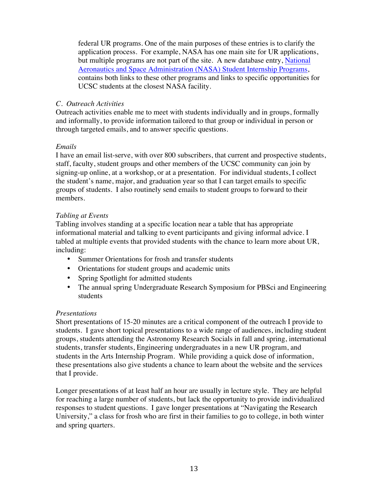federal UR programs. One of the main purposes of these entries is to clarify the application process. For example, NASA has one main site for UR applications, but multiple programs are not part of the site. A new database entry, National Aeronautics and Space Administration (NASA) Student Internship Programs, contains both links to these other programs and links to specific opportunities for UCSC students at the closest NASA facility.

### *C. Outreach Activities*

Outreach activities enable me to meet with students individually and in groups, formally and informally, to provide information tailored to that group or individual in person or through targeted emails, and to answer specific questions.

## *Emails*

I have an email list-serve, with over 800 subscribers, that current and prospective students, staff, faculty, student groups and other members of the UCSC community can join by signing-up online, at a workshop, or at a presentation. For individual students, I collect the student's name, major, and graduation year so that I can target emails to specific groups of students. I also routinely send emails to student groups to forward to their members.

### *Tabling at Events*

Tabling involves standing at a specific location near a table that has appropriate informational material and talking to event participants and giving informal advice. I tabled at multiple events that provided students with the chance to learn more about UR, including:

- Summer Orientations for frosh and transfer students
- Orientations for student groups and academic units
- Spring Spotlight for admitted students
- The annual spring Undergraduate Research Symposium for PBSci and Engineering students

## *Presentations*

Short presentations of 15-20 minutes are a critical component of the outreach I provide to students. I gave short topical presentations to a wide range of audiences, including student groups, students attending the Astronomy Research Socials in fall and spring, international students, transfer students, Engineering undergraduates in a new UR program, and students in the Arts Internship Program. While providing a quick dose of information, these presentations also give students a chance to learn about the website and the services that I provide.

Longer presentations of at least half an hour are usually in lecture style. They are helpful for reaching a large number of students, but lack the opportunity to provide individualized responses to student questions. I gave longer presentations at "Navigating the Research University," a class for frosh who are first in their families to go to college, in both winter and spring quarters.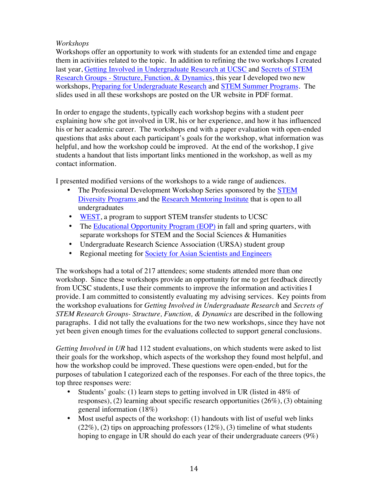## *Workshops*

Workshops offer an opportunity to work with students for an extended time and engage them in activities related to the topic. In addition to refining the two workshops I created last year, Getting Involved in Undergraduate Research at UCSC and Secrets of STEM Research Groups - Structure, Function, & Dynamics, this year I developed two new workshops, Preparing for Undergraduate Research and STEM Summer Programs. The slides used in all these workshops are posted on the UR website in PDF format.

In order to engage the students, typically each workshop begins with a student peer explaining how s/he got involved in UR, his or her experience, and how it has influenced his or her academic career. The workshops end with a paper evaluation with open-ended questions that asks about each participant's goals for the workshop, what information was helpful, and how the workshop could be improved. At the end of the workshop, I give students a handout that lists important links mentioned in the workshop, as well as my contact information.

I presented modified versions of the workshops to a wide range of audiences.

- The Professional Development Workshop Series sponsored by the STEM Diversity Programs and the Research Mentoring Institute that is open to all undergraduates
- WEST, a program to support STEM transfer students to UCSC
- The Educational Opportunity Program (EOP) in fall and spring quarters, with separate workshops for STEM and the Social Sciences & Humanities
- Undergraduate Research Science Association (URSA) student group
- Regional meeting for Society for Asian Scientists and Engineers

The workshops had a total of 217 attendees; some students attended more than one workshop.Since these workshops provide an opportunity for me to get feedback directly from UCSC students, I use their comments to improve the information and activities I provide. I am committed to consistently evaluating my advising services. Key points from the workshop evaluations for *Getting Involved in Undergraduate Research* and *Secrets of STEM Research Groups- Structure, Function, & Dynamics* are described in the following paragraphs. I did not tally the evaluations for the two new workshops, since they have not yet been given enough times for the evaluations collected to support general conclusions.

*Getting Involved in UR* had 112 student evaluations, on which students were asked to list their goals for the workshop, which aspects of the workshop they found most helpful, and how the workshop could be improved. These questions were open-ended, but for the purposes of tabulation I categorized each of the responses. For each of the three topics, the top three responses were:

- Students' goals: (1) learn steps to getting involved in UR (listed in 48% of responses), (2) learning about specific research opportunities (26%), (3) obtaining general information (18%)
- Most useful aspects of the workshop: (1) handouts with list of useful web links  $(22\%), (2)$  tips on approaching professors  $(12\%), (3)$  timeline of what students hoping to engage in UR should do each year of their undergraduate careers (9%)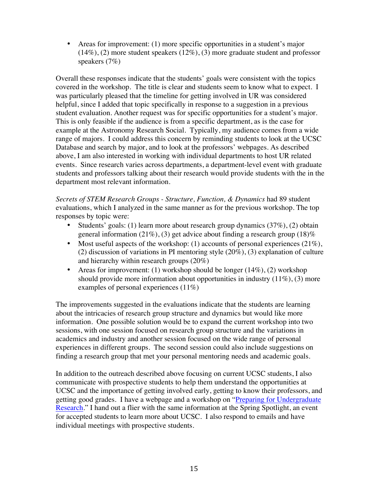• Areas for improvement: (1) more specific opportunities in a student's major  $(14\%)$ , (2) more student speakers  $(12\%)$ , (3) more graduate student and professor speakers (7%)

Overall these responses indicate that the students' goals were consistent with the topics covered in the workshop. The title is clear and students seem to know what to expect. I was particularly pleased that the timeline for getting involved in UR was considered helpful, since I added that topic specifically in response to a suggestion in a previous student evaluation. Another request was for specific opportunities for a student's major. This is only feasible if the audience is from a specific department, as is the case for example at the Astronomy Research Social. Typically, my audience comes from a wide range of majors. I could address this concern by reminding students to look at the UCSC Database and search by major, and to look at the professors' webpages. As described above, I am also interested in working with individual departments to host UR related events. Since research varies across departments, a department-level event with graduate students and professors talking about their research would provide students with the in the department most relevant information.

*Secrets of STEM Research Groups - Structure, Function, & Dynamics* had 89 student evaluations, which I analyzed in the same manner as for the previous workshop. The top responses by topic were:

- Students' goals: (1) learn more about research group dynamics  $(37\%)$ , (2) obtain general information (21%), (3) get advice about finding a research group (18)%
- Most useful aspects of the workshop: (1) accounts of personal experiences  $(21\%)$ , (2) discussion of variations in PI mentoring style (20%), (3) explanation of culture and hierarchy within research groups (20%)
- Areas for improvement: (1) workshop should be longer  $(14\%)$ , (2) workshop should provide more information about opportunities in industry  $(11\%)$ ,  $(3)$  more examples of personal experiences (11%)

The improvements suggested in the evaluations indicate that the students are learning about the intricacies of research group structure and dynamics but would like more information. One possible solution would be to expand the current workshop into two sessions, with one session focused on research group structure and the variations in academics and industry and another session focused on the wide range of personal experiences in different groups. The second session could also include suggestions on finding a research group that met your personal mentoring needs and academic goals.

In addition to the outreach described above focusing on current UCSC students, I also communicate with prospective students to help them understand the opportunities at UCSC and the importance of getting involved early, getting to know their professors, and getting good grades. I have a webpage and a workshop on "Preparing for Undergraduate Research." I hand out a flier with the same information at the Spring Spotlight, an event for accepted students to learn more about UCSC. I also respond to emails and have individual meetings with prospective students.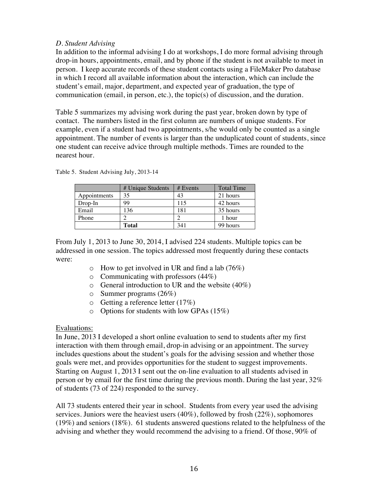### *D. Student Advising*

In addition to the informal advising I do at workshops, I do more formal advising through drop-in hours, appointments, email, and by phone if the student is not available to meet in person. I keep accurate records of these student contacts using a FileMaker Pro database in which I record all available information about the interaction, which can include the student's email, major, department, and expected year of graduation, the type of communication (email, in person, etc.), the topic(s) of discussion, and the duration.

Table 5 summarizes my advising work during the past year, broken down by type of contact. The numbers listed in the first column are numbers of unique students. For example, even if a student had two appointments, s/he would only be counted as a single appointment. The number of events is larger than the unduplicated count of students, since one student can receive advice through multiple methods. Times are rounded to the nearest hour.

|              | # Unique Students | # Events | <b>Total Time</b> |
|--------------|-------------------|----------|-------------------|
| Appointments | 35                | 43       | 21 hours          |
| $Drop-In$    | 99                | 115      | 42 hours          |
| Email        | 136               | 181      | 35 hours          |
| Phone        |                   |          | 1 hour            |
|              | <b>Total</b>      | 341      | 99 hours          |

Table 5. Student Advising July, 2013-14

From July 1, 2013 to June 30, 2014, I advised 224 students. Multiple topics can be addressed in one session. The topics addressed most frequently during these contacts were:

- $\circ$  How to get involved in UR and find a lab (76%)
- o Communicating with professors (44%)
- $\circ$  General introduction to UR and the website (40%)
- o Summer programs (26%)
- o Getting a reference letter (17%)
- o Options for students with low GPAs (15%)

### Evaluations:

In June, 2013 I developed a short online evaluation to send to students after my first interaction with them through email, drop-in advising or an appointment. The survey includes questions about the student's goals for the advising session and whether those goals were met, and provides opportunities for the student to suggest improvements. Starting on August 1, 2013 I sent out the on-line evaluation to all students advised in person or by email for the first time during the previous month. During the last year, 32% of students (73 of 224) responded to the survey.

All 73 students entered their year in school. Students from every year used the advising services. Juniors were the heaviest users (40%), followed by frosh (22%), sophomores (19%) and seniors (18%). 61 students answered questions related to the helpfulness of the advising and whether they would recommend the advising to a friend. Of those, 90% of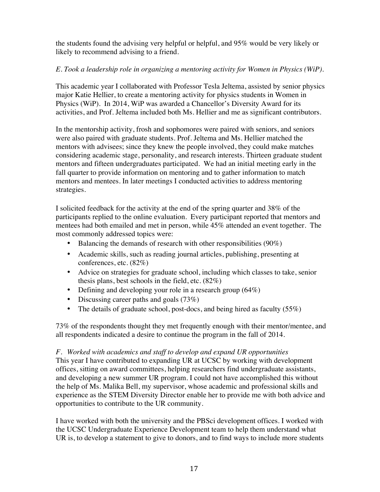the students found the advising very helpful or helpful, and 95% would be very likely or likely to recommend advising to a friend.

# *E. Took a leadership role in organizing a mentoring activity for Women in Physics (WiP).*

This academic year I collaborated with Professor Tesla Jeltema, assisted by senior physics major Katie Hellier, to create a mentoring activity for physics students in Women in Physics (WiP). In 2014, WiP was awarded a Chancellor's Diversity Award for its activities, and Prof. Jeltema included both Ms. Hellier and me as significant contributors.

In the mentorship activity, frosh and sophomores were paired with seniors, and seniors were also paired with graduate students. Prof. Jeltema and Ms. Hellier matched the mentors with advisees; since they knew the people involved, they could make matches considering academic stage, personality, and research interests. Thirteen graduate student mentors and fifteen undergraduates participated. We had an initial meeting early in the fall quarter to provide information on mentoring and to gather information to match mentors and mentees. In later meetings I conducted activities to address mentoring strategies.

I solicited feedback for the activity at the end of the spring quarter and 38% of the participants replied to the online evaluation. Every participant reported that mentors and mentees had both emailed and met in person, while 45% attended an event together. The most commonly addressed topics were:

- Balancing the demands of research with other responsibilities (90%)
- Academic skills, such as reading journal articles, publishing, presenting at conferences, etc. (82%)
- Advice on strategies for graduate school, including which classes to take, senior thesis plans, best schools in the field, etc. (82%)
- Defining and developing your role in a research group (64%)
- Discussing career paths and goals (73%)
- The details of graduate school, post-docs, and being hired as faculty  $(55\%)$

73% of the respondents thought they met frequently enough with their mentor/mentee, and all respondents indicated a desire to continue the program in the fall of 2014.

## *F. Worked with academics and staff to develop and expand UR opportunities*

This year I have contributed to expanding UR at UCSC by working with development offices, sitting on award committees, helping researchers find undergraduate assistants, and developing a new summer UR program. I could not have accomplished this without the help of Ms. Malika Bell, my supervisor, whose academic and professional skills and experience as the STEM Diversity Director enable her to provide me with both advice and opportunities to contribute to the UR community.

I have worked with both the university and the PBSci development offices. I worked with the UCSC Undergraduate Experience Development team to help them understand what UR is, to develop a statement to give to donors, and to find ways to include more students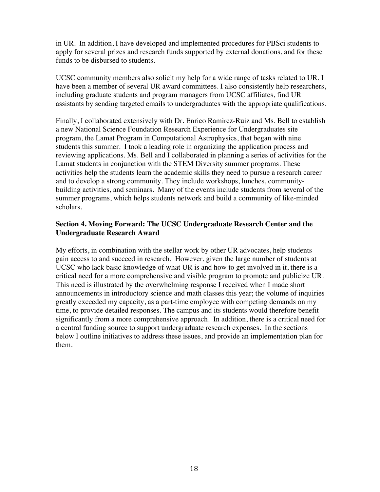in UR. In addition, I have developed and implemented procedures for PBSci students to apply for several prizes and research funds supported by external donations, and for these funds to be disbursed to students.

UCSC community members also solicit my help for a wide range of tasks related to UR. I have been a member of several UR award committees. I also consistently help researchers, including graduate students and program managers from UCSC affiliates, find UR assistants by sending targeted emails to undergraduates with the appropriate qualifications.

Finally, I collaborated extensively with Dr. Enrico Ramirez-Ruiz and Ms. Bell to establish a new National Science Foundation Research Experience for Undergraduates site program, the Lamat Program in Computational Astrophysics, that began with nine students this summer. I took a leading role in organizing the application process and reviewing applications. Ms. Bell and I collaborated in planning a series of activities for the Lamat students in conjunction with the STEM Diversity summer programs. These activities help the students learn the academic skills they need to pursue a research career and to develop a strong community. They include workshops, lunches, communitybuilding activities, and seminars. Many of the events include students from several of the summer programs, which helps students network and build a community of like-minded scholars.

## **Section 4. Moving Forward: The UCSC Undergraduate Research Center and the Undergraduate Research Award**

My efforts, in combination with the stellar work by other UR advocates, help students gain access to and succeed in research. However, given the large number of students at UCSC who lack basic knowledge of what UR is and how to get involved in it, there is a critical need for a more comprehensive and visible program to promote and publicize UR. This need is illustrated by the overwhelming response I received when I made short announcements in introductory science and math classes this year; the volume of inquiries greatly exceeded my capacity, as a part-time employee with competing demands on my time, to provide detailed responses. The campus and its students would therefore benefit significantly from a more comprehensive approach. In addition, there is a critical need for a central funding source to support undergraduate research expenses. In the sections below I outline initiatives to address these issues, and provide an implementation plan for them.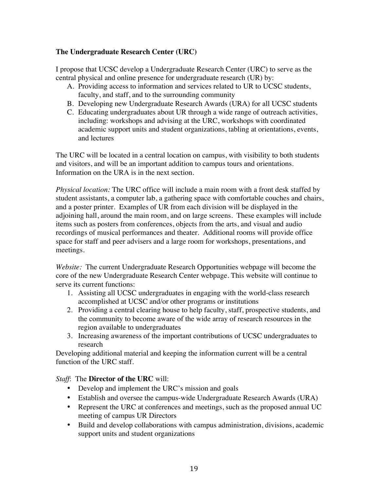## **The Undergraduate Research Center (URC)**

I propose that UCSC develop a Undergraduate Research Center (URC) to serve as the central physical and online presence for undergraduate research (UR) by:

- A. Providing access to information and services related to UR to UCSC students, faculty, and staff, and to the surrounding community
- B. Developing new Undergraduate Research Awards (URA) for all UCSC students
- C. Educating undergraduates about UR through a wide range of outreach activities, including: workshops and advising at the URC, workshops with coordinated academic support units and student organizations, tabling at orientations, events, and lectures

The URC will be located in a central location on campus, with visibility to both students and visitors, and will be an important addition to campus tours and orientations. Information on the URA is in the next section.

*Physical location:* The URC office will include a main room with a front desk staffed by student assistants, a computer lab, a gathering space with comfortable couches and chairs, and a poster printer. Examples of UR from each division will be displayed in the adjoining hall, around the main room, and on large screens. These examples will include items such as posters from conferences, objects from the arts, and visual and audio recordings of musical performances and theater. Additional rooms will provide office space for staff and peer advisers and a large room for workshops, presentations, and meetings.

*Website:* The current Undergraduate Research Opportunities webpage will become the core of the new Undergraduate Research Center webpage. This website will continue to serve its current functions:

- 1. Assisting all UCSC undergraduates in engaging with the world-class research accomplished at UCSC and/or other programs or institutions
- 2. Providing a central clearing house to help faculty, staff, prospective students, and the community to become aware of the wide array of research resources in the region available to undergraduates
- 3. Increasing awareness of the important contributions of UCSC undergraduates to research

Developing additional material and keeping the information current will be a central function of the URC staff.

*Staff*: The **Director of the URC** will:

- Develop and implement the URC's mission and goals
- Establish and oversee the campus-wide Undergraduate Research Awards (URA)
- Represent the URC at conferences and meetings, such as the proposed annual UC meeting of campus UR Directors
- Build and develop collaborations with campus administration, divisions, academic support units and student organizations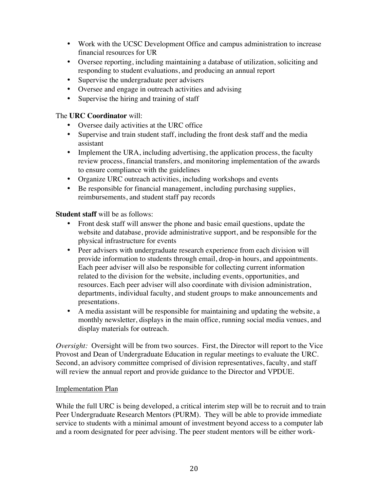- Work with the UCSC Development Office and campus administration to increase financial resources for UR
- Oversee reporting, including maintaining a database of utilization, soliciting and responding to student evaluations, and producing an annual report
- Supervise the undergraduate peer advisers
- Oversee and engage in outreach activities and advising
- Supervise the hiring and training of staff

## The **URC Coordinator** will:

- Oversee daily activities at the URC office
- Supervise and train student staff, including the front desk staff and the media assistant
- Implement the URA, including advertising, the application process, the faculty review process, financial transfers, and monitoring implementation of the awards to ensure compliance with the guidelines
- Organize URC outreach activities, including workshops and events
- Be responsible for financial management, including purchasing supplies, reimbursements, and student staff pay records

### **Student staff** will be as follows:

- Front desk staff will answer the phone and basic email questions, update the website and database, provide administrative support, and be responsible for the physical infrastructure for events
- Peer advisers with undergraduate research experience from each division will provide information to students through email, drop-in hours, and appointments. Each peer adviser will also be responsible for collecting current information related to the division for the website, including events, opportunities, and resources. Each peer adviser will also coordinate with division administration, departments, individual faculty, and student groups to make announcements and presentations.
- A media assistant will be responsible for maintaining and updating the website, a monthly newsletter, displays in the main office, running social media venues, and display materials for outreach.

*Oversight:* Oversight will be from two sources. First, the Director will report to the Vice Provost and Dean of Undergraduate Education in regular meetings to evaluate the URC. Second, an advisory committee comprised of division representatives, faculty, and staff will review the annual report and provide guidance to the Director and VPDUE.

### Implementation Plan

While the full URC is being developed, a critical interim step will be to recruit and to train Peer Undergraduate Research Mentors (PURM). They will be able to provide immediate service to students with a minimal amount of investment beyond access to a computer lab and a room designated for peer advising. The peer student mentors will be either work-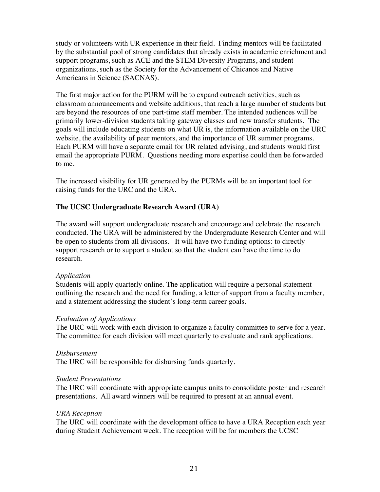study or volunteers with UR experience in their field. Finding mentors will be facilitated by the substantial pool of strong candidates that already exists in academic enrichment and support programs, such as ACE and the STEM Diversity Programs, and student organizations, such as the Society for the Advancement of Chicanos and Native Americans in Science (SACNAS).

The first major action for the PURM will be to expand outreach activities, such as classroom announcements and website additions, that reach a large number of students but are beyond the resources of one part-time staff member. The intended audiences will be primarily lower-division students taking gateway classes and new transfer students. The goals will include educating students on what UR is, the information available on the URC website, the availability of peer mentors, and the importance of UR summer programs. Each PURM will have a separate email for UR related advising, and students would first email the appropriate PURM. Questions needing more expertise could then be forwarded to me.

The increased visibility for UR generated by the PURMs will be an important tool for raising funds for the URC and the URA.

## **The UCSC Undergraduate Research Award (URA)**

The award will support undergraduate research and encourage and celebrate the research conducted. The URA will be administered by the Undergraduate Research Center and will be open to students from all divisions. It will have two funding options: to directly support research or to support a student so that the student can have the time to do research.

## *Application*

Students will apply quarterly online. The application will require a personal statement outlining the research and the need for funding, a letter of support from a faculty member, and a statement addressing the student's long-term career goals.

### *Evaluation of Applications*

The URC will work with each division to organize a faculty committee to serve for a year. The committee for each division will meet quarterly to evaluate and rank applications.

### *Disbursement*

The URC will be responsible for disbursing funds quarterly.

### *Student Presentations*

The URC will coordinate with appropriate campus units to consolidate poster and research presentations. All award winners will be required to present at an annual event.

## *URA Reception*

The URC will coordinate with the development office to have a URA Reception each year during Student Achievement week. The reception will be for members the UCSC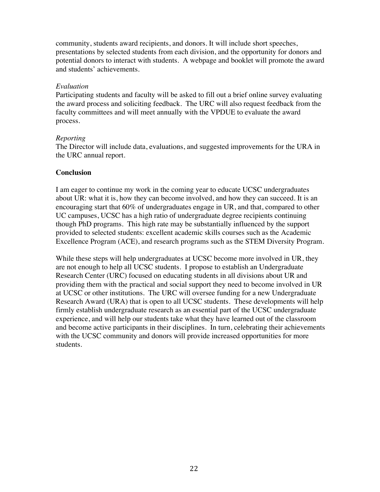community, students award recipients, and donors. It will include short speeches, presentations by selected students from each division, and the opportunity for donors and potential donors to interact with students. A webpage and booklet will promote the award and students' achievements.

### *Evaluation*

Participating students and faculty will be asked to fill out a brief online survey evaluating the award process and soliciting feedback. The URC will also request feedback from the faculty committees and will meet annually with the VPDUE to evaluate the award process.

#### *Reporting*

The Director will include data, evaluations, and suggested improvements for the URA in the URC annual report.

### **Conclusion**

I am eager to continue my work in the coming year to educate UCSC undergraduates about UR: what it is, how they can become involved, and how they can succeed. It is an encouraging start that 60% of undergraduates engage in UR, and that, compared to other UC campuses, UCSC has a high ratio of undergraduate degree recipients continuing though PhD programs. This high rate may be substantially influenced by the support provided to selected students: excellent academic skills courses such as the Academic Excellence Program (ACE), and research programs such as the STEM Diversity Program.

While these steps will help undergraduates at UCSC become more involved in UR, they are not enough to help all UCSC students. I propose to establish an Undergraduate Research Center (URC) focused on educating students in all divisions about UR and providing them with the practical and social support they need to become involved in UR at UCSC or other institutions. The URC will oversee funding for a new Undergraduate Research Award (URA) that is open to all UCSC students. These developments will help firmly establish undergraduate research as an essential part of the UCSC undergraduate experience, and will help our students take what they have learned out of the classroom and become active participants in their disciplines. In turn, celebrating their achievements with the UCSC community and donors will provide increased opportunities for more students.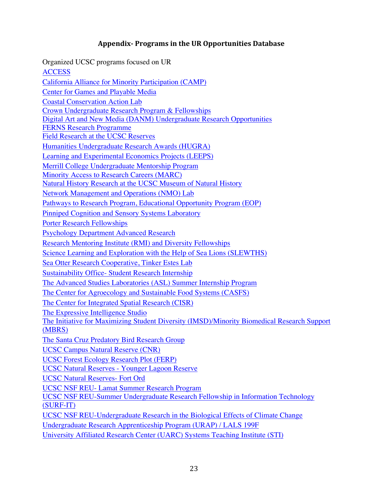## Appendix - Programs in the UR Opportunities Database

Organized UCSC programs focused on UR **ACCESS** California Alliance for Minority Participation (CAMP) Center for Games and Playable Media Coastal Conservation Action Lab Crown Undergraduate Research Program & Fellowships Digital Art and New Media (DANM) Undergraduate Research Opportunities FERNS Research Programme Field Research at the UCSC Reserves Humanities Undergraduate Research Awards (HUGRA) Learning and Experimental Economics Projects (LEEPS) Merrill College Undergraduate Mentorship Program Minority Access to Research Careers (MARC) Natural History Research at the UCSC Museum of Natural History Network Management and Operations (NMO) Lab Pathways to Research Program, Educational Opportunity Program (EOP) Pinniped Cognition and Sensory Systems Laboratory Porter Research Fellowships Psychology Department Advanced Research Research Mentoring Institute (RMI) and Diversity Fellowships Science Learning and Exploration with the Help of Sea Lions (SLEWTHS) Sea Otter Research Cooperative, Tinker Estes Lab Sustainability Office- Student Research Internship The Advanced Studies Laboratories (ASL) Summer Internship Program The Center for Agroecology and Sustainable Food Systems (CASFS) The Center for Integrated Spatial Research (CISR) The Expressive Intelligence Studio The Initiative for Maximizing Student Diversity (IMSD)/Minority Biomedical Research Support (MBRS) The Santa Cruz Predatory Bird Research Group UCSC Campus Natural Reserve (CNR) UCSC Forest Ecology Research Plot (FERP) UCSC Natural Reserves - Younger Lagoon Reserve UCSC Natural Reserves- Fort Ord UCSC NSF REU- Lamat Summer Research Program UCSC NSF REU-Summer Undergraduate Research Fellowship in Information Technology (SURF-IT) UCSC NSF REU-Undergraduate Research in the Biological Effects of Climate Change Undergraduate Research Apprenticeship Program (URAP) / LALS 199F University Affiliated Research Center (UARC) Systems Teaching Institute (STI)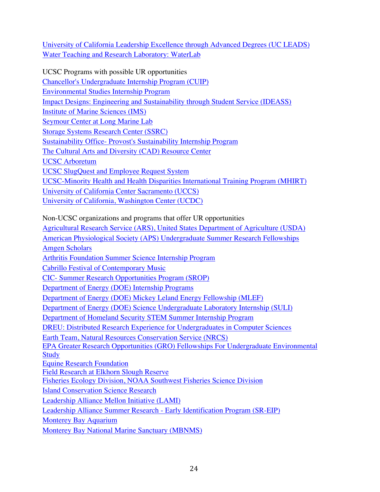University of California Leadership Excellence through Advanced Degrees (UC LEADS) Water Teaching and Research Laboratory: WaterLab

UCSC Programs with possible UR opportunities Chancellor's Undergraduate Internship Program (CUIP) Environmental Studies Internship Program Impact Designs: Engineering and Sustainability through Student Service (IDEASS) Institute of Marine Sciences (IMS) Seymour Center at Long Marine Lab Storage Systems Research Center (SSRC) Sustainability Office- Provost's Sustainability Internship Program The Cultural Arts and Diversity (CAD) Resource Center UCSC Arboretum UCSC SlugQuest and Employee Request System UCSC-Minority Health and Health Disparities International Training Program (MHIRT) University of California Center Sacramento (UCCS) University of California, Washington Center (UCDC)

Non-UCSC organizations and programs that offer UR opportunities

Agricultural Research Service (ARS), United States Department of Agriculture (USDA) American Physiological Society (APS) Undergraduate Summer Research Fellowships Amgen Scholars Arthritis Foundation Summer Science Internship Program Cabrillo Festival of Contemporary Music CIC- Summer Research Opportunities Program (SROP) Department of Energy (DOE) Internship Programs Department of Energy (DOE) Mickey Leland Energy Fellowship (MLEF) Department of Energy (DOE) Science Undergraduate Laboratory Internship (SULI) Department of Homeland Security STEM Summer Internship Program DREU: Distributed Research Experience for Undergraduates in Computer Sciences Earth Team, Natural Resources Conservation Service (NRCS) EPA Greater Research Opportunities (GRO) Fellowships For Undergraduate Environmental **Study** Equine Research Foundation Field Research at Elkhorn Slough Reserve Fisheries Ecology Division, NOAA Southwest Fisheries Science Division Island Conservation Science Research Leadership Alliance Mellon Initiative (LAMI) Leadership Alliance Summer Research - Early Identification Program (SR-EIP) Monterey Bay Aquarium

Monterey Bay National Marine Sanctuary (MBNMS)